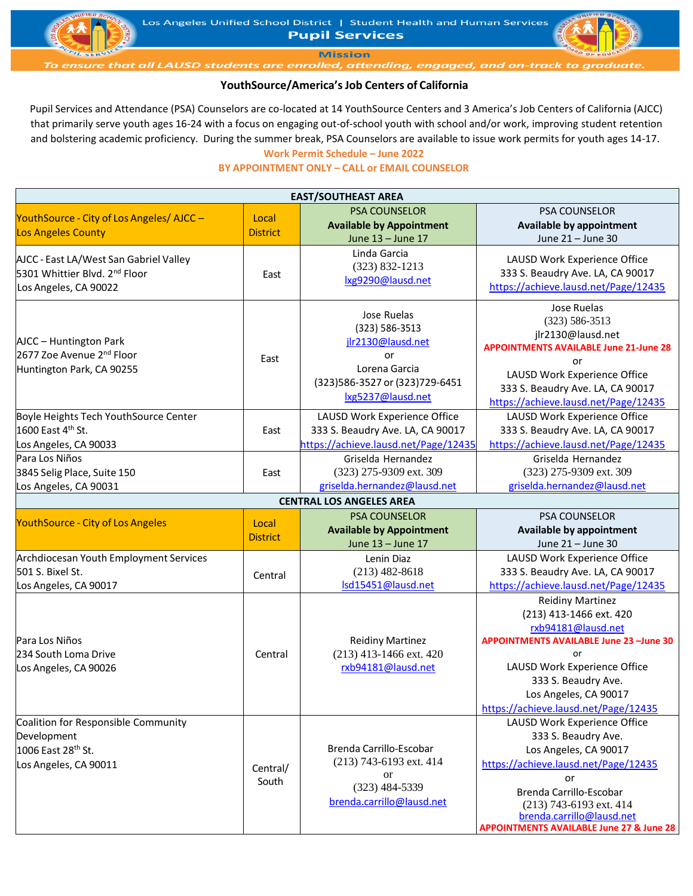**Mission** 

nsure that all LAUSD students are enrolled, attending, engaged, and on-track to gradu

## **YouthSource/America'sJob Centers of California**

Pupil Services and Attendance (PSA) Counselors are co-located at 14 YouthSource Centers and 3 America's Job Centers of California (AJCC) that primarily serve youth ages 16-24 with a focus on engaging out-of-school youth with school and/or work, improving student retention and bolstering academic proficiency. During the summer break, PSA Counselors are available to issue work permits for youth ages 14-17. **Work Permit Schedule – June 2022**

## **BY APPOINTMENT ONLY – CALL or EMAIL COUNSELOR**

| <b>EAST/SOUTHEAST AREA</b>                                                                                    |                          |                                                                                                                                  |                                                                                                                                                                                                                                                                      |  |  |  |
|---------------------------------------------------------------------------------------------------------------|--------------------------|----------------------------------------------------------------------------------------------------------------------------------|----------------------------------------------------------------------------------------------------------------------------------------------------------------------------------------------------------------------------------------------------------------------|--|--|--|
| YouthSource - City of Los Angeles/ AJCC -<br>Los Angeles County                                               | Local<br><b>District</b> | <b>PSA COUNSELOR</b><br><b>Available by Appointment</b><br>June 13 - June 17                                                     | PSA COUNSELOR<br><b>Available by appointment</b><br>June 21 - June 30                                                                                                                                                                                                |  |  |  |
| AJCC - East LA/West San Gabriel Valley<br>5301 Whittier Blvd. 2 <sup>nd</sup> Floor<br>Los Angeles, CA 90022  | East                     | Linda Garcia<br>$(323) 832 - 1213$<br>lxg9290@lausd.net                                                                          | LAUSD Work Experience Office<br>333 S. Beaudry Ave. LA, CA 90017<br>https://achieve.lausd.net/Page/12435                                                                                                                                                             |  |  |  |
| AJCC - Huntington Park<br>2677 Zoe Avenue 2 <sup>nd</sup> Floor<br>Huntington Park, CA 90255                  | East                     | Jose Ruelas<br>(323) 586-3513<br>jlr2130@lausd.net<br>or<br>Lorena Garcia<br>(323)586-3527 or (323)729-6451<br>lxg5237@lausd.net | Jose Ruelas<br>$(323) 586 - 3513$<br>jlr2130@lausd.net<br><b>APPOINTMENTS AVAILABLE June 21-June 28</b><br>or<br>LAUSD Work Experience Office<br>333 S. Beaudry Ave. LA, CA 90017<br>https://achieve.lausd.net/Page/12435                                            |  |  |  |
| Boyle Heights Tech YouthSource Center<br>1600 East 4th St.<br>Los Angeles, CA 90033                           | East                     | LAUSD Work Experience Office<br>333 S. Beaudry Ave. LA, CA 90017<br>https://achieve.lausd.net/Page/12435                         | LAUSD Work Experience Office<br>333 S. Beaudry Ave. LA, CA 90017<br>https://achieve.lausd.net/Page/12435                                                                                                                                                             |  |  |  |
| Para Los Niños<br>3845 Selig Place, Suite 150<br>Los Angeles, CA 90031                                        | East                     | Griselda Hernandez<br>(323) 275-9309 ext. 309<br>griselda.hernandez@lausd.net                                                    | Griselda Hernandez<br>(323) 275-9309 ext. 309<br>griselda.hernandez@lausd.net                                                                                                                                                                                        |  |  |  |
|                                                                                                               |                          | <b>CENTRAL LOS ANGELES AREA</b>                                                                                                  |                                                                                                                                                                                                                                                                      |  |  |  |
| YouthSource - City of Los Angeles                                                                             | Local<br><b>District</b> | <b>PSA COUNSELOR</b><br><b>Available by Appointment</b><br>June 13 - June 17                                                     | <b>PSA COUNSELOR</b><br><b>Available by appointment</b><br>June 21 - June 30                                                                                                                                                                                         |  |  |  |
| Archdiocesan Youth Employment Services<br>501 S. Bixel St.<br>Los Angeles, CA 90017                           | Central                  | Lenin Diaz<br>$(213)$ 482-8618<br>Isd15451@lausd.net                                                                             | LAUSD Work Experience Office<br>333 S. Beaudry Ave. LA, CA 90017<br>https://achieve.lausd.net/Page/12435                                                                                                                                                             |  |  |  |
| Para Los Niños<br>234 South Loma Drive<br>Los Angeles, CA 90026                                               | Central                  | <b>Reidiny Martinez</b><br>(213) 413-1466 ext. 420<br>rxb94181@lausd.net                                                         | <b>Reidiny Martinez</b><br>(213) 413-1466 ext. 420<br>rxb94181@lausd.net<br><b>APPOINTMENTS AVAILABLE June 23 -June 30</b><br>or<br>LAUSD Work Experience Office<br>333 S. Beaudry Ave.<br>Los Angeles, CA 90017<br>https://achieve.lausd.net/Page/12435             |  |  |  |
| Coalition for Responsible Community<br>Development<br>1006 East 28 <sup>th</sup> St.<br>Los Angeles, CA 90011 | Central/<br>South        | Brenda Carrillo-Escobar<br>(213) 743-6193 ext. 414<br><sub>or</sub><br>$(323)$ 484-5339<br>brenda.carrillo@lausd.net             | LAUSD Work Experience Office<br>333 S. Beaudry Ave.<br>Los Angeles, CA 90017<br>https://achieve.lausd.net/Page/12435<br>or<br>Brenda Carrillo-Escobar<br>(213) 743-6193 ext. 414<br>brenda.carrillo@lausd.net<br><b>APPOINTMENTS AVAILABLE June 27 &amp; June 28</b> |  |  |  |